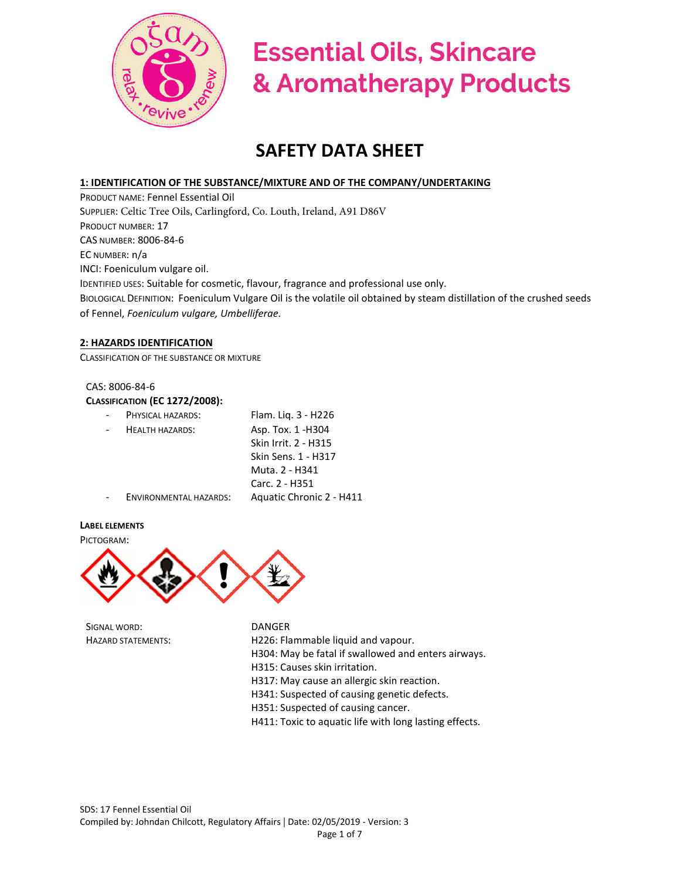

# **Essential Oils, Skincare** & Aromatherapy Products

# **SAFETY DATA SHEET**

# **1: IDENTIFICATION OF THE SUBSTANCE/MIXTURE AND OF THE COMPANY/UNDERTAKING**

PRODUCT NAME: Fennel Essential Oil SUPPLIER: Celtic Tree Oils, Carlingford, Co. Louth, Ireland, A91 D86V PRODUCT NUMBER: 17 CAS NUMBER: 8006-84-6 EC NUMBER: n/a INCI: Foeniculum vulgare oil. IDENTIFIED USES: Suitable for cosmetic, flavour, fragrance and professional use only. BIOLOGICAL DEFINITION: Foeniculum Vulgare Oil is the volatile oil obtained by steam distillation of the crushed seeds of Fennel, *Foeniculum vulgare, Umbelliferae.*

# **2: HAZARDS IDENTIFICATION**

CLASSIFICATION OF THE SUBSTANCE OR MIXTURE

# CAS: 8006-84-6

# **CLASSIFICATION (EC 1272/2008):**

| PHYSICAL HAZARDS:      | Flam. Liq. 3 - H226      |
|------------------------|--------------------------|
| <b>HEALTH HAZARDS:</b> | Asp. Tox. 1 - H304       |
|                        | Skin Irrit. 2 - H315     |
|                        | Skin Sens. 1 - H317      |
|                        | Muta. 2 - H341           |
|                        | Carc. 2 - H351           |
| ENVIRONMENTAL HAZARDS: | Aquatic Chronic 2 - H411 |
|                        |                          |

# **LABEL ELEMENTS**

PICTOGRAM:



SIGNAL WORD: DANGER

HAZARD STATEMENTS: H226: Flammable liquid and vapour. H304: May be fatal if swallowed and enters airways. H315: Causes skin irritation. H317: May cause an allergic skin reaction. H341: Suspected of causing genetic defects. H351: Suspected of causing cancer. H411: Toxic to aquatic life with long lasting effects.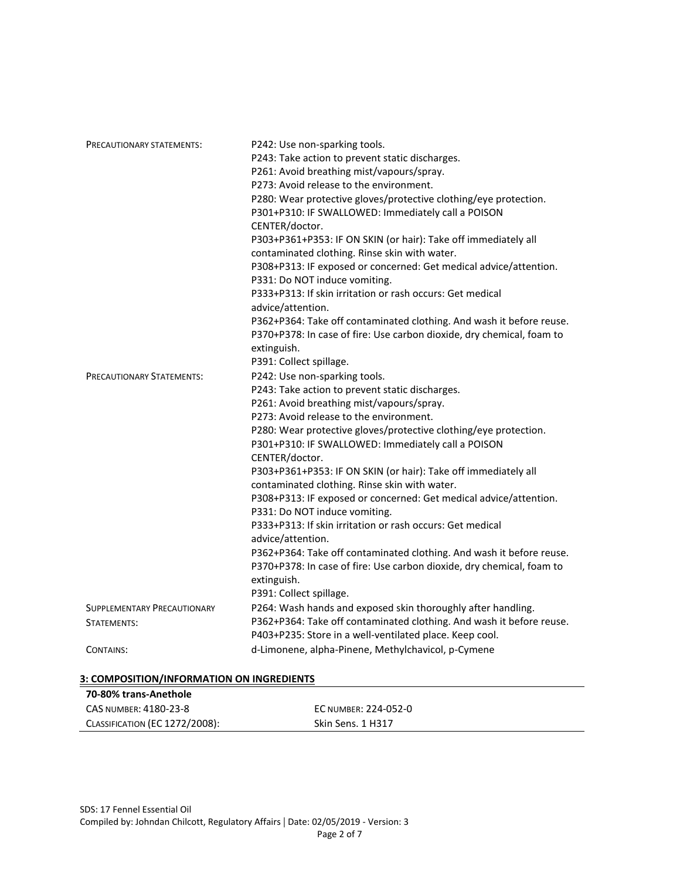| PRECAUTIONARY STATEMENTS:          | P242: Use non-sparking tools.                                         |
|------------------------------------|-----------------------------------------------------------------------|
|                                    | P243: Take action to prevent static discharges.                       |
|                                    | P261: Avoid breathing mist/vapours/spray.                             |
|                                    | P273: Avoid release to the environment.                               |
|                                    | P280: Wear protective gloves/protective clothing/eye protection.      |
|                                    | P301+P310: IF SWALLOWED: Immediately call a POISON                    |
|                                    | CENTER/doctor.                                                        |
|                                    | P303+P361+P353: IF ON SKIN (or hair): Take off immediately all        |
|                                    | contaminated clothing. Rinse skin with water.                         |
|                                    | P308+P313: IF exposed or concerned: Get medical advice/attention.     |
|                                    | P331: Do NOT induce vomiting.                                         |
|                                    | P333+P313: If skin irritation or rash occurs: Get medical             |
|                                    | advice/attention.                                                     |
|                                    | P362+P364: Take off contaminated clothing. And wash it before reuse.  |
|                                    | P370+P378: In case of fire: Use carbon dioxide, dry chemical, foam to |
|                                    | extinguish.                                                           |
|                                    | P391: Collect spillage.                                               |
| <b>PRECAUTIONARY STATEMENTS:</b>   | P242: Use non-sparking tools.                                         |
|                                    | P243: Take action to prevent static discharges.                       |
|                                    | P261: Avoid breathing mist/vapours/spray.                             |
|                                    | P273: Avoid release to the environment.                               |
|                                    | P280: Wear protective gloves/protective clothing/eye protection.      |
|                                    | P301+P310: IF SWALLOWED: Immediately call a POISON                    |
|                                    | CENTER/doctor.                                                        |
|                                    | P303+P361+P353: IF ON SKIN (or hair): Take off immediately all        |
|                                    | contaminated clothing. Rinse skin with water.                         |
|                                    | P308+P313: IF exposed or concerned: Get medical advice/attention.     |
|                                    | P331: Do NOT induce vomiting.                                         |
|                                    | P333+P313: If skin irritation or rash occurs: Get medical             |
|                                    | advice/attention.                                                     |
|                                    | P362+P364: Take off contaminated clothing. And wash it before reuse.  |
|                                    | P370+P378: In case of fire: Use carbon dioxide, dry chemical, foam to |
|                                    | extinguish.                                                           |
|                                    | P391: Collect spillage.                                               |
| <b>SUPPLEMENTARY PRECAUTIONARY</b> | P264: Wash hands and exposed skin thoroughly after handling.          |
| STATEMENTS:                        | P362+P364: Take off contaminated clothing. And wash it before reuse.  |
|                                    | P403+P235: Store in a well-ventilated place. Keep cool.               |
| CONTAINS:                          | d-Limonene, alpha-Pinene, Methylchavicol, p-Cymene                    |
|                                    |                                                                       |
|                                    |                                                                       |

# **3: COMPOSITION/INFORMATION ON INGREDIENTS**

| 70-80% trans-Anethole          |                      |
|--------------------------------|----------------------|
| CAS NUMBER: 4180-23-8          | EC NUMBER: 224-052-0 |
| CLASSIFICATION (EC 1272/2008): | Skin Sens. 1 H317    |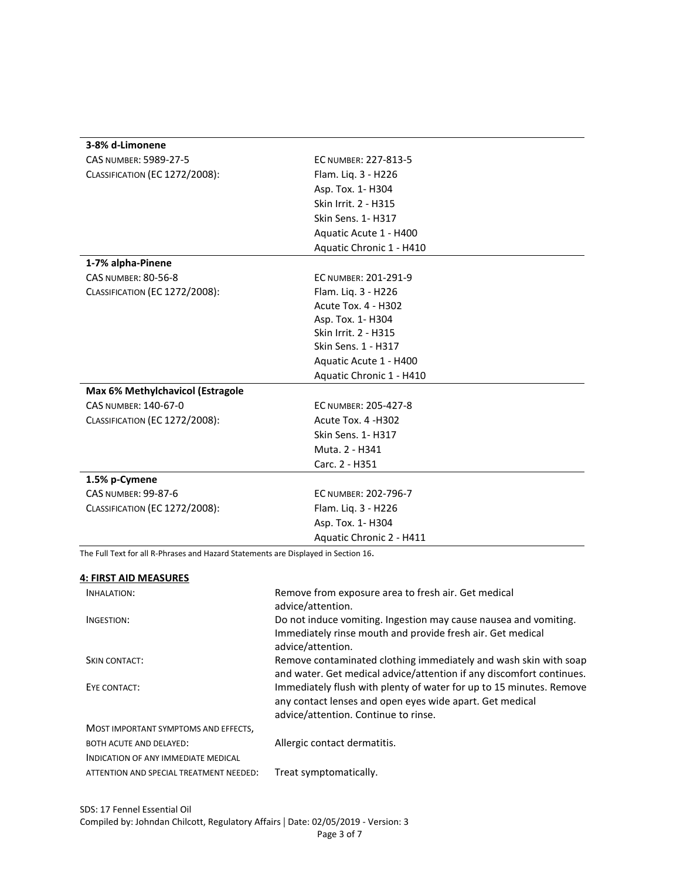| 3-8% d-Limonene                       |                            |
|---------------------------------------|----------------------------|
| CAS NUMBER: 5989-27-5                 | EC NUMBER: 227-813-5       |
| <b>CLASSIFICATION (EC 1272/2008):</b> | Flam. Liq. 3 - H226        |
|                                       | Asp. Tox. 1-H304           |
|                                       | Skin Irrit. 2 - H315       |
|                                       | <b>Skin Sens. 1-H317</b>   |
|                                       | Aquatic Acute 1 - H400     |
|                                       | Aquatic Chronic 1 - H410   |
| 1-7% alpha-Pinene                     |                            |
| <b>CAS NUMBER: 80-56-8</b>            | EC NUMBER: 201-291-9       |
| <b>CLASSIFICATION (EC 1272/2008):</b> | Flam. Liq. 3 - H226        |
|                                       | <b>Acute Tox. 4 - H302</b> |
|                                       | Asp. Tox. 1-H304           |
|                                       | Skin Irrit. 2 - H315       |
|                                       | Skin Sens. 1 - H317        |
|                                       | Aquatic Acute 1 - H400     |
|                                       | Aquatic Chronic 1 - H410   |
| Max 6% Methylchavicol (Estragole      |                            |
| CAS NUMBER: 140-67-0                  | EC NUMBER: 205-427-8       |
| CLASSIFICATION (EC 1272/2008):        | Acute Tox. 4 -H302         |
|                                       | <b>Skin Sens. 1-H317</b>   |
|                                       | Muta. 2 - H341             |
|                                       | Carc. 2 - H351             |
| 1.5% p-Cymene                         |                            |
| <b>CAS NUMBER: 99-87-6</b>            | EC NUMBER: 202-796-7       |
| <b>CLASSIFICATION (EC 1272/2008):</b> | Flam. Liq. 3 - H226        |
|                                       | Asp. Tox. 1-H304           |
|                                       | Aquatic Chronic 2 - H411   |

| The Full Text for all R-Phrases and Hazard Statements are Displayed in Section 16. |                                                                                                                                                                         |  |
|------------------------------------------------------------------------------------|-------------------------------------------------------------------------------------------------------------------------------------------------------------------------|--|
| <b>4: FIRST AID MEASURES</b>                                                       |                                                                                                                                                                         |  |
| INHALATION:                                                                        | Remove from exposure area to fresh air. Get medical<br>advice/attention.                                                                                                |  |
| INGESTION:                                                                         | Do not induce vomiting. Ingestion may cause nausea and vomiting.<br>Immediately rinse mouth and provide fresh air. Get medical<br>advice/attention.                     |  |
| <b>SKIN CONTACT:</b>                                                               | Remove contaminated clothing immediately and wash skin with soap<br>and water. Get medical advice/attention if any discomfort continues.                                |  |
| EYE CONTACT:                                                                       | Immediately flush with plenty of water for up to 15 minutes. Remove<br>any contact lenses and open eyes wide apart. Get medical<br>advice/attention. Continue to rinse. |  |
| MOST IMPORTANT SYMPTOMS AND EFFECTS,                                               |                                                                                                                                                                         |  |
| <b>BOTH ACUTE AND DELAYED:</b>                                                     | Allergic contact dermatitis.                                                                                                                                            |  |
| INDICATION OF ANY IMMEDIATE MEDICAL                                                |                                                                                                                                                                         |  |
| ATTENTION AND SPECIAL TREATMENT NEEDED:                                            | Treat symptomatically.                                                                                                                                                  |  |
|                                                                                    |                                                                                                                                                                         |  |
|                                                                                    |                                                                                                                                                                         |  |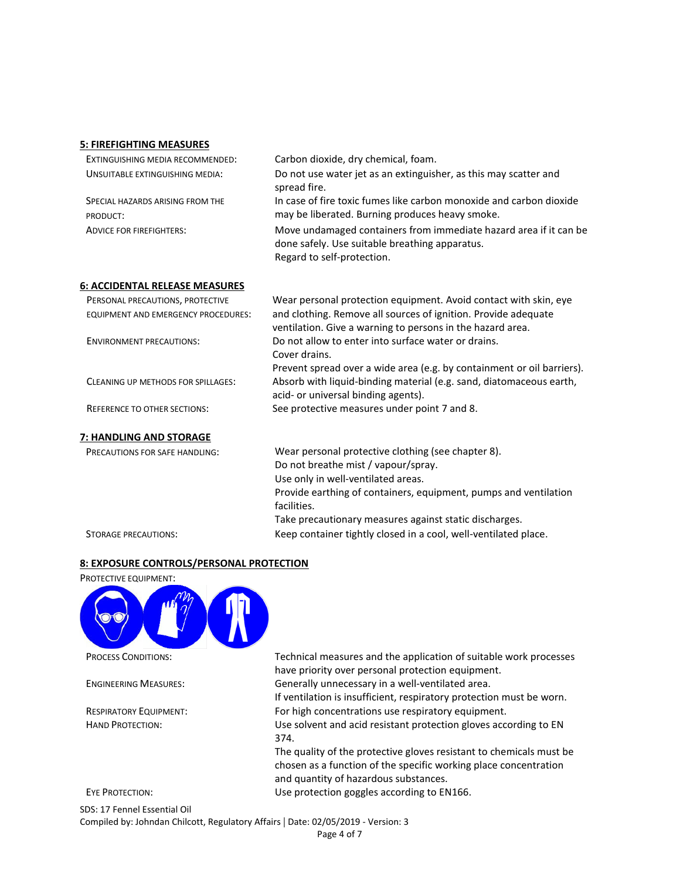#### **5: FIREFIGHTING MEASURES**

| EXTINGUISHING MEDIA RECOMMENDED:             | Carbon dioxide, dry chemical, foam.                                                                                                               |
|----------------------------------------------|---------------------------------------------------------------------------------------------------------------------------------------------------|
| UNSUITABLE EXTINGUISHING MEDIA:              | Do not use water jet as an extinguisher, as this may scatter and<br>spread fire.                                                                  |
| SPECIAL HAZARDS ARISING FROM THE<br>PRODUCT: | In case of fire toxic fumes like carbon monoxide and carbon dioxide<br>may be liberated. Burning produces heavy smoke.                            |
| <b>ADVICE FOR FIREFIGHTERS:</b>              | Move undamaged containers from immediate hazard area if it can be<br>done safely. Use suitable breathing apparatus.<br>Regard to self-protection. |

### **6: ACCIDENTAL RELEASE MEASURES**

| PERSONAL PRECAUTIONS, PROTECTIVE    | Wear personal protection equipment. Avoid contact with skin, eye       |
|-------------------------------------|------------------------------------------------------------------------|
| EQUIPMENT AND EMERGENCY PROCEDURES: | and clothing. Remove all sources of ignition. Provide adequate         |
|                                     | ventilation. Give a warning to persons in the hazard area.             |
| <b>ENVIRONMENT PRECAUTIONS:</b>     | Do not allow to enter into surface water or drains.                    |
|                                     | Cover drains.                                                          |
|                                     | Prevent spread over a wide area (e.g. by containment or oil barriers). |
| CLEANING UP METHODS FOR SPILLAGES:  | Absorb with liquid-binding material (e.g. sand, diatomaceous earth,    |
|                                     | acid- or universal binding agents).                                    |
| <b>REFERENCE TO OTHER SECTIONS:</b> | See protective measures under point 7 and 8.                           |
|                                     |                                                                        |
| 7: HANDLING AND STORAGE             |                                                                        |

PRECAUTIONS FOR SAFE HANDLING: Wear personal protective clothing (see chapter 8). Do not breathe mist / vapour/spray. Use only in well-ventilated areas. Provide earthing of containers, equipment, pumps and ventilation facilities. Take precautionary measures against static discharges. STORAGE PRECAUTIONS: Keep container tightly closed in a cool, well-ventilated place.

### **8: EXPOSURE CONTROLS/PERSONAL PROTECTION**



PROCESS CONDITIONS: Technical measures and the application of suitable work processes have priority over personal protection equipment.

ENGINEERING MEASURES: Generally unnecessary in a well-ventilated area.

If ventilation is insufficient, respiratory protection must be worn. RESPIRATORY EQUIPMENT: For high concentrations use respiratory equipment.

HAND PROTECTION: Use solvent and acid resistant protection gloves according to EN 374.

The quality of the protective gloves resistant to chemicals must be chosen as a function of the specific working place concentration and quantity of hazardous substances. EYE PROTECTION: Use protection goggles according to EN166.

SDS: 17 Fennel Essential Oil Compiled by: Johndan Chilcott, Regulatory Affairs | Date: 02/05/2019 - Version: 3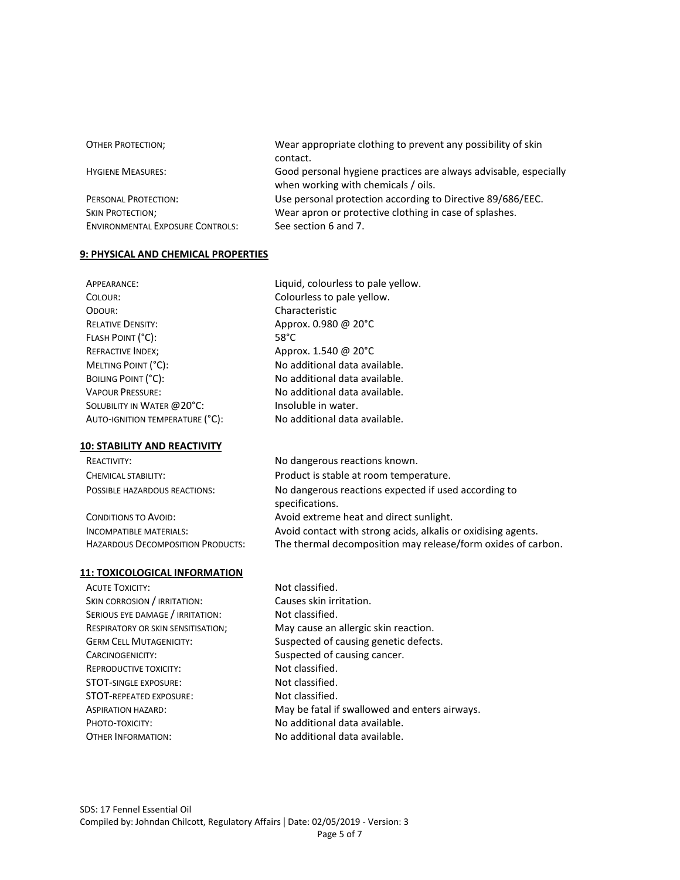| <b>OTHER PROTECTION;</b>                | Wear appropriate clothing to prevent any possibility of skin<br>contact.                                |
|-----------------------------------------|---------------------------------------------------------------------------------------------------------|
|                                         |                                                                                                         |
| <b>HYGIENE MEASURES:</b>                | Good personal hygiene practices are always advisable, especially<br>when working with chemicals / oils. |
| PERSONAL PROTECTION:                    | Use personal protection according to Directive 89/686/EEC.                                              |
| <b>SKIN PROTECTION;</b>                 | Wear apron or protective clothing in case of splashes.                                                  |
| <b>ENVIRONMENTAL EXPOSURE CONTROLS:</b> | See section 6 and 7.                                                                                    |

Characteristic

Approx. 0.980 @ 20°C

Approx. 1.540 @ 20°C No additional data available. No additional data available. No additional data available.

Insoluble in water.

specifications.

No additional data available.

Liquid, colourless to pale yellow. Colourless to pale yellow.

# **9: PHYSICAL AND CHEMICAL PROPERTIES**

| APPEARANCE:                     | Ligui          |
|---------------------------------|----------------|
| COLOUR:                         | Colo           |
| ODOUR:                          | Char           |
| <b>RELATIVE DENSITY:</b>        | Appr           |
| FLASH POINT (°C):               | $58^{\circ}$ C |
| <b>REFRACTIVE INDEX;</b>        | Appr           |
| MELTING POINT (°C):             | No a           |
| BOILING POINT (°C):             | No a           |
| <b>VAPOUR PRESSURE:</b>         | No a           |
| SOLUBILITY IN WATER @ 20°C:     | Insol          |
| AUTO-IGNITION TEMPERATURE (°C): | No a           |

# **10: STABILITY AND REACTIVITY**

REACTIVITY: No dangerous reactions known. CHEMICAL STABILITY: Product is stable at room temperature. POSSIBLE HAZARDOUS REACTIONS: No dangerous reactions expected if used according to

CONDITIONS TO AVOID: Avoid extreme heat and direct sunlight. INCOMPATIBLE MATERIALS: Avoid contact with strong acids, alkalis or oxidising agents. HAZARDOUS DECOMPOSITION PRODUCTS: The thermal decomposition may release/form oxides of carbon.

#### **11: TOXICOLOGICAL INFORMATION**

ACUTE TOXICITY: NOT Classified. SKIN CORROSION / IRRITATION: Causes skin irritation. SERIOUS EYE DAMAGE / IRRITATION: Not classified. CARCINOGENICITY: Suspected of causing cancer. REPRODUCTIVE TOXICITY: Not classified. STOT-SINGLE EXPOSURE: Not classified. STOT-REPEATED EXPOSURE: Not classified. PHOTO-TOXICITY: No additional data available. OTHER INFORMATION: No additional data available.

RESPIRATORY OR SKIN SENSITISATION; May cause an allergic skin reaction. GERM CELL MUTAGENICITY: Suspected of causing genetic defects. ASPIRATION HAZARD: May be fatal if swallowed and enters airways.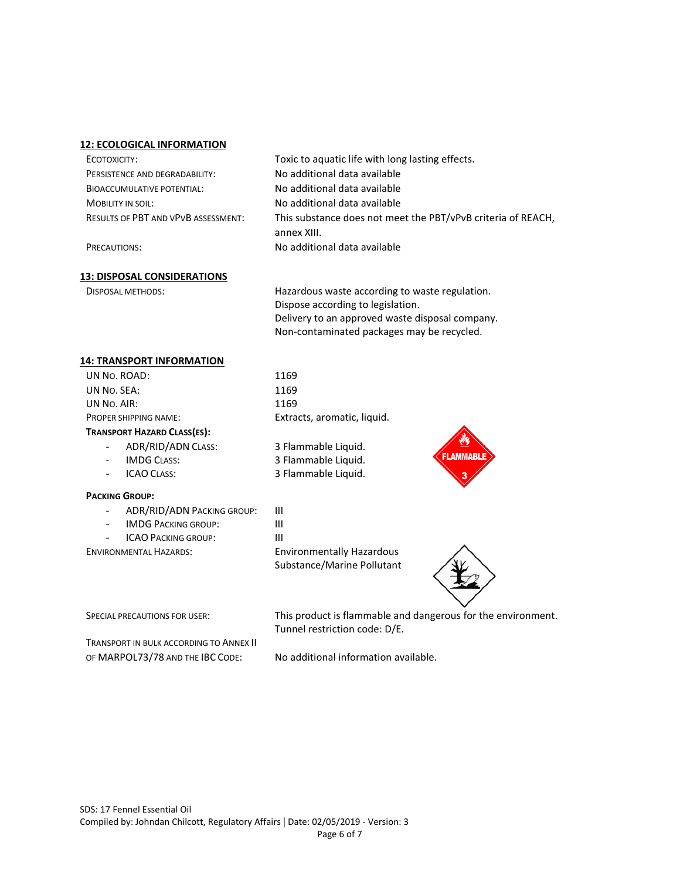#### **12: ECOLOGICAL INFORMATION**

| ECOTOXICITY:                               | Toxic to aquatic life with long lasting effects.             |
|--------------------------------------------|--------------------------------------------------------------|
| PERSISTENCE AND DEGRADABILITY:             | No additional data available                                 |
| <b>BIOACCUMULATIVE POTENTIAL:</b>          | No additional data available                                 |
| <b>MOBILITY IN SOIL:</b>                   | No additional data available                                 |
| <b>RESULTS OF PBT AND VPVB ASSESSMENT:</b> | This substance does not meet the PBT/vPvB criteria of REACH. |
|                                            | annex XIII.                                                  |
| PRECAUTIONS:                               | No additional data available                                 |

#### **13: DISPOSAL CONSIDERATIONS**

DISPOSAL METHODS: Hazardous waste according to waste regulation. Dispose according to legislation. Delivery to an approved waste disposal company. Non-contaminated packages may be recycled.

#### **14: TRANSPORT INFORMATION**

| UN No. ROAD:                 | 1169                        |
|------------------------------|-----------------------------|
| UN No. SEA:                  | 1169                        |
| UN No. AIR:                  | 1169                        |
| <b>PROPER SHIPPING NAME:</b> | Extracts, aromatic, liquid. |
|                              |                             |

# **TRANSPORT HAZARD CLASS(ES):**

- ADR/RID/ADN CLASS: 3 Flammable Liquid.
- IMDG CLASS: 3 Flammable Liquid.
- ICAO CLASS: 3 Flammable Liquid.

# **PACKING GROUP:**

- ADR/RID/ADN PACKING GROUP: III
- IMDG PACKING GROUP: III
	- ICAO PACKING GROUP: III

ENVIRONMENTAL HAZARDS: Environmentally Hazardous

Substance/Marine Pollutant





SPECIAL PRECAUTIONS FOR USER: This product is flammable and dangerous for the environment. Tunnel restriction code: D/E.

TRANSPORT IN BULK ACCORDING TO ANNEX II OF MARPOL73/78 AND THE IBC CODE: No additional information available.